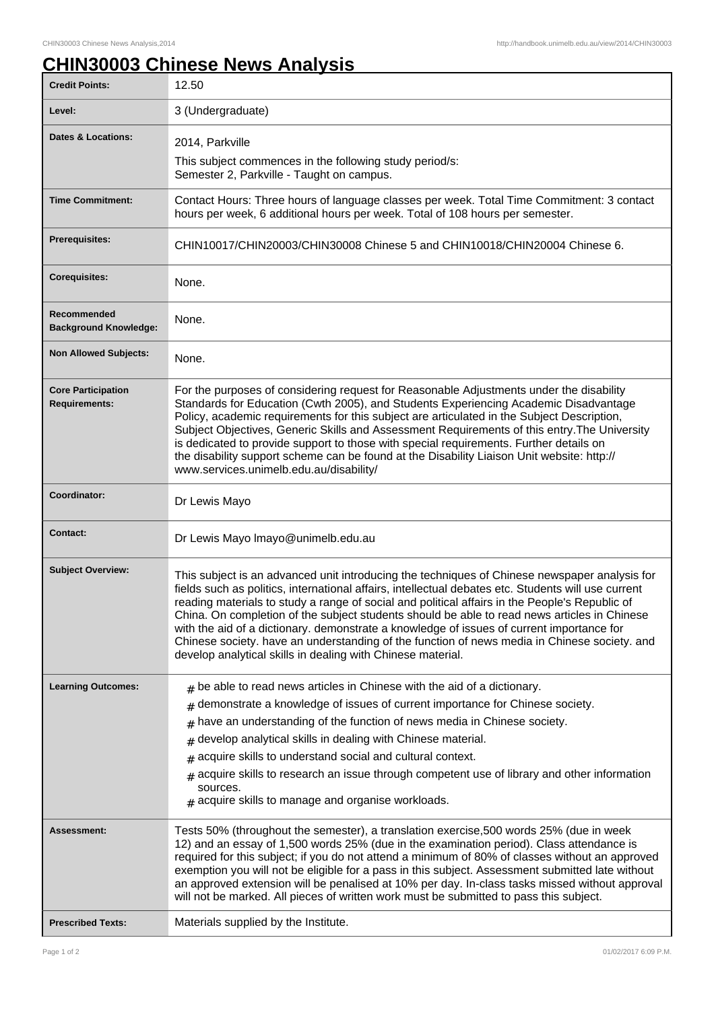## **CHIN30003 Chinese News Analysis**

| <b>Credit Points:</b>                             | 12.50                                                                                                                                                                                                                                                                                                                                                                                                                                                                                                                                                                                                                                                              |
|---------------------------------------------------|--------------------------------------------------------------------------------------------------------------------------------------------------------------------------------------------------------------------------------------------------------------------------------------------------------------------------------------------------------------------------------------------------------------------------------------------------------------------------------------------------------------------------------------------------------------------------------------------------------------------------------------------------------------------|
| Level:                                            | 3 (Undergraduate)                                                                                                                                                                                                                                                                                                                                                                                                                                                                                                                                                                                                                                                  |
| <b>Dates &amp; Locations:</b>                     | 2014, Parkville                                                                                                                                                                                                                                                                                                                                                                                                                                                                                                                                                                                                                                                    |
|                                                   | This subject commences in the following study period/s:<br>Semester 2, Parkville - Taught on campus.                                                                                                                                                                                                                                                                                                                                                                                                                                                                                                                                                               |
| <b>Time Commitment:</b>                           | Contact Hours: Three hours of language classes per week. Total Time Commitment: 3 contact<br>hours per week, 6 additional hours per week. Total of 108 hours per semester.                                                                                                                                                                                                                                                                                                                                                                                                                                                                                         |
| <b>Prerequisites:</b>                             | CHIN10017/CHIN20003/CHIN30008 Chinese 5 and CHIN10018/CHIN20004 Chinese 6.                                                                                                                                                                                                                                                                                                                                                                                                                                                                                                                                                                                         |
| <b>Corequisites:</b>                              | None.                                                                                                                                                                                                                                                                                                                                                                                                                                                                                                                                                                                                                                                              |
| Recommended<br><b>Background Knowledge:</b>       | None.                                                                                                                                                                                                                                                                                                                                                                                                                                                                                                                                                                                                                                                              |
| <b>Non Allowed Subjects:</b>                      | None.                                                                                                                                                                                                                                                                                                                                                                                                                                                                                                                                                                                                                                                              |
| <b>Core Participation</b><br><b>Requirements:</b> | For the purposes of considering request for Reasonable Adjustments under the disability<br>Standards for Education (Cwth 2005), and Students Experiencing Academic Disadvantage<br>Policy, academic requirements for this subject are articulated in the Subject Description,<br>Subject Objectives, Generic Skills and Assessment Requirements of this entry. The University<br>is dedicated to provide support to those with special requirements. Further details on<br>the disability support scheme can be found at the Disability Liaison Unit website: http://<br>www.services.unimelb.edu.au/disability/                                                   |
| Coordinator:                                      | Dr Lewis Mayo                                                                                                                                                                                                                                                                                                                                                                                                                                                                                                                                                                                                                                                      |
| <b>Contact:</b>                                   | Dr Lewis Mayo Imayo@unimelb.edu.au                                                                                                                                                                                                                                                                                                                                                                                                                                                                                                                                                                                                                                 |
| <b>Subject Overview:</b>                          | This subject is an advanced unit introducing the techniques of Chinese newspaper analysis for<br>fields such as politics, international affairs, intellectual debates etc. Students will use current<br>reading materials to study a range of social and political affairs in the People's Republic of<br>China. On completion of the subject students should be able to read news articles in Chinese<br>with the aid of a dictionary. demonstrate a knowledge of issues of current importance for<br>Chinese society. have an understanding of the function of news media in Chinese society. and<br>develop analytical skills in dealing with Chinese material. |
| <b>Learning Outcomes:</b>                         | $_{\text{\#}}$ be able to read news articles in Chinese with the aid of a dictionary.                                                                                                                                                                                                                                                                                                                                                                                                                                                                                                                                                                              |
|                                                   | demonstrate a knowledge of issues of current importance for Chinese society.<br>$\#$                                                                                                                                                                                                                                                                                                                                                                                                                                                                                                                                                                               |
|                                                   | have an understanding of the function of news media in Chinese society.<br>#                                                                                                                                                                                                                                                                                                                                                                                                                                                                                                                                                                                       |
|                                                   | develop analytical skills in dealing with Chinese material.<br>#                                                                                                                                                                                                                                                                                                                                                                                                                                                                                                                                                                                                   |
|                                                   | acquire skills to understand social and cultural context.<br>#                                                                                                                                                                                                                                                                                                                                                                                                                                                                                                                                                                                                     |
|                                                   | acquire skills to research an issue through competent use of library and other information<br>#<br>sources.<br>$#$ acquire skills to manage and organise workloads.                                                                                                                                                                                                                                                                                                                                                                                                                                                                                                |
| <b>Assessment:</b>                                | Tests 50% (throughout the semester), a translation exercise, 500 words 25% (due in week<br>12) and an essay of 1,500 words 25% (due in the examination period). Class attendance is<br>required for this subject; if you do not attend a minimum of 80% of classes without an approved<br>exemption you will not be eligible for a pass in this subject. Assessment submitted late without<br>an approved extension will be penalised at 10% per day. In-class tasks missed without approval<br>will not be marked. All pieces of written work must be submitted to pass this subject.                                                                             |
| <b>Prescribed Texts:</b>                          | Materials supplied by the Institute.                                                                                                                                                                                                                                                                                                                                                                                                                                                                                                                                                                                                                               |